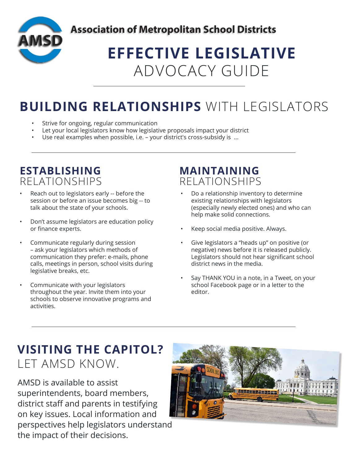

# **EFFECTIVE LEGISLATIVE** ADVOCACY GUIDE

## **BUILDING RELATIONSHIPS** WITH LEGISLATORS

- Strive for ongoing, regular communication
- Let your local legislators know how legislative proposals impact your district
- Use real examples when possible, i.e. your district's cross-subsidy is  $\dots$

#### **ESTABLISHING** RELATIONSHIPS

- Reach out to legislators early -- before the session or before an issue becomes big -- to talk about the state of your schools.
- Don't assume legislators are education policy or finance experts.
- Communicate regularly during session – ask your legislators which methods of communication they prefer: e-mails, phone calls, meetings in person, school visits during legislative breaks, etc.
- Communicate with your legislators throughout the year. Invite them into your schools to observe innovative programs and activities.

#### **MAINTAINING** RELATIONSHIPS

- Do a relationship inventory to determine existing relationships with legislators (especially newly elected ones) and who can help make solid connections.
- Keep social media positive. Always.
- Give legislators a "heads up" on positive (or negative) news before it is released publicly. Legislators should not hear significant school district news in the media.
- Say THANK YOU in a note, in a Tweet, on your school Facebook page or in a letter to the editor.

## **VISITING THE CAPITOL?**  LET AMSD KNOW.

AMSD is available to assist superintendents, board members, district staff and parents in testifying on key issues. Local information and perspectives help legislators understand the impact of their decisions.

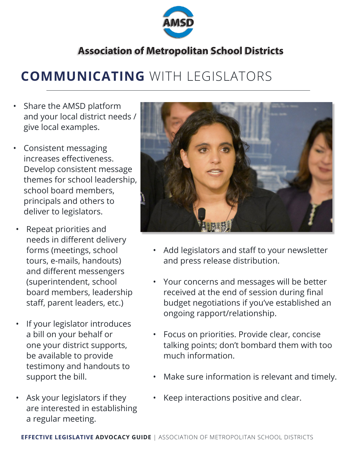

## **COMMUNICATING** WITH LEGISLATORS

- Share the AMSD platform and your local district needs / give local examples.
- Consistent messaging increases effectiveness. Develop consistent message themes for school leadership, school board members, principals and others to deliver to legislators.
- Repeat priorities and needs in different delivery forms (meetings, school tours, e-mails, handouts) and different messengers (superintendent, school board members, leadership staff, parent leaders, etc.)
- If your legislator introduces a bill on your behalf or one your district supports, be available to provide testimony and handouts to support the bill.
- Ask your legislators if they are interested in establishing a regular meeting.



- Add legislators and staff to your newsletter and press release distribution.
- Your concerns and messages will be better received at the end of session during final budget negotiations if you've established an ongoing rapport/relationship.
- Focus on priorities. Provide clear, concise talking points; don't bombard them with too much information.
- Make sure information is relevant and timely.
- Keep interactions positive and clear.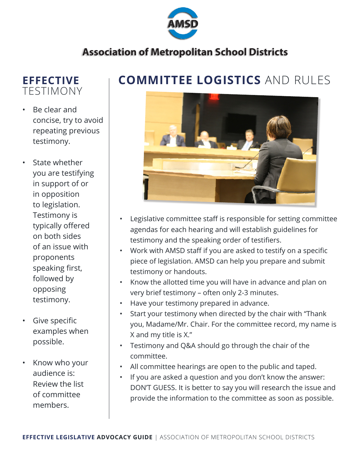

#### **EFFECTIVE** TESTIMONY

- Be clear and concise, try to avoid repeating previous testimony.
- State whether you are testifying in support of or in opposition to legislation. Testimony is typically offered on both sides of an issue with proponents speaking first, followed by opposing testimony.
- Give specific examples when possible.
- Know who your audience is: Review the list of committee members.

### **COMMITTEE LOGISTICS** AND RULES



- Legislative committee staff is responsible for setting committee agendas for each hearing and will establish guidelines for testimony and the speaking order of testifiers.
- Work with AMSD staff if you are asked to testify on a specific piece of legislation. AMSD can help you prepare and submit testimony or handouts.
- Know the allotted time you will have in advance and plan on very brief testimony – often only 2-3 minutes.
- Have your testimony prepared in advance.
- Start your testimony when directed by the chair with "Thank you, Madame/Mr. Chair. For the committee record, my name is X and my title is X."
- Testimony and Q&A should go through the chair of the committee.
- All committee hearings are open to the public and taped.
- If you are asked a question and you don't know the answer: DON'T GUESS. It is better to say you will research the issue and provide the information to the committee as soon as possible.